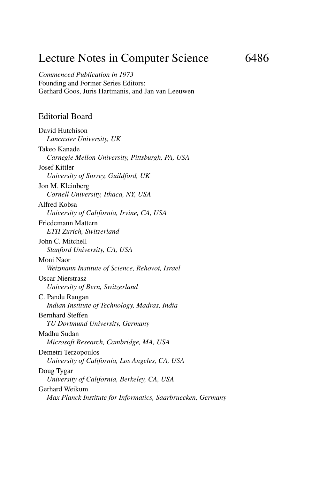## Lecture Notes in Computer Science 6486

*Commenced Publication in 1973* Founding and Former Series Editors: Gerhard Goos, Juris Hartmanis, and Jan van Leeuwen

#### Editorial Board

David Hutchison *Lancaster University, UK* Takeo Kanade *Carnegie Mellon University, Pittsburgh, PA, USA* Josef Kittler *University of Surrey, Guildford, UK* Jon M. Kleinberg *Cornell University, Ithaca, NY, USA* Alfred Kobsa *University of California, Irvine, CA, USA* Friedemann Mattern *ETH Zurich, Switzerland* John C. Mitchell *Stanford University, CA, USA* Moni Naor *Weizmann Institute of Science, Rehovot, Israel* Oscar Nierstrasz *University of Bern, Switzerland* C. Pandu Rangan *Indian Institute of Technology, Madras, India* Bernhard Steffen *TU Dortmund University, Germany* Madhu Sudan *Microsoft Research, Cambridge, MA, USA* Demetri Terzopoulos *University of California, Los Angeles, CA, USA* Doug Tygar *University of California, Berkeley, CA, USA* Gerhard Weikum *Max Planck Institute for Informatics, Saarbruecken, Germany*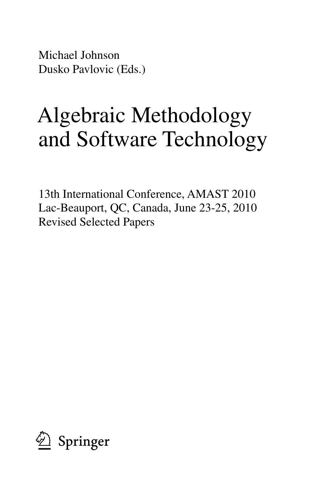Michael Johnson Dusko Pavlovic (Eds.)

# Algebraic Methodology and Software Technology

13th International Conference, AMAST 2010 Lac-Beauport, QC, Canada, June 23-25, 2010 Revised Selected Papers

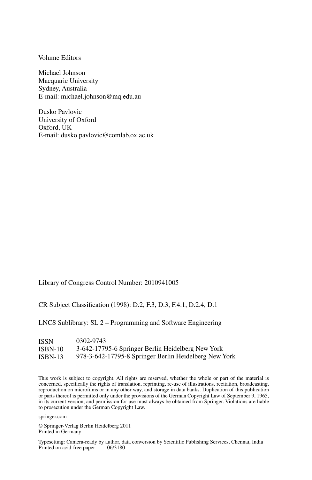Volume Editors

Michael Johnson Macquarie University Sydney, Australia E-mail: michael.johnson@mq.edu.au

Dusko Pavlovic University of Oxford Oxford, UK E-mail: dusko.pavlovic@comlab.ox.ac.uk

Library of Congress Control Number: 2010941005

CR Subject Classification (1998): D.2, F.3, D.3, F.4.1, D.2.4, D.1

LNCS Sublibrary: SL 2 – Programming and Software Engineering

| <b>ISSN</b> | 0302-9743                                             |
|-------------|-------------------------------------------------------|
| $ISBN-10$   | 3-642-17795-6 Springer Berlin Heidelberg New York     |
| $ISBN-13$   | 978-3-642-17795-8 Springer Berlin Heidelberg New York |

This work is subject to copyright. All rights are reserved, whether the whole or part of the material is concerned, specifically the rights of translation, reprinting, re-use of illustrations, recitation, broadcasting, reproduction on microfilms or in any other way, and storage in data banks. Duplication of this publication or parts thereof is permitted only under the provisions of the German Copyright Law of September 9, 1965, in its current version, and permission for use must always be obtained from Springer. Violations are liable to prosecution under the German Copyright Law.

springer.com

© Springer-Verlag Berlin Heidelberg 2011 Printed in Germany

Typesetting: Camera-ready by author, data conversion by Scientific Publishing Services, Chennai, India Printed on acid-free paper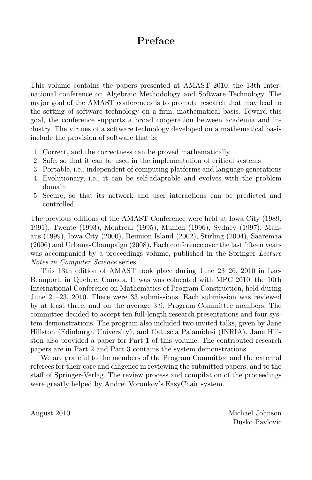### **Preface**

This volume contains the papers presented at AMAST 2010: the 13th International conference on Algebraic Methodology and Software Technology. The major goal of the AMAST conferences is to promote research that may lead to the setting of software technology on a firm, mathematical basis. Toward this goal, the conference supports a broad cooperation between academia and industry. The virtues of a software technology developed on a mathematical basis include the provision of software that is:

- 1. Correct, and the correctness can be proved mathematically
- 2. Safe, so that it can be used in the implementation of critical systems
- 3. Portable, i.e., independent of computing platforms and language generations
- 4. Evolutionary, i.e., it can be self-adaptable and evolves with the problem domain
- 5. Secure, so that its network and user interactions can be predicted and controlled

The previous editions of the AMAST Conference were held at Iowa City (1989, 1991), Twente (1993), Montreal (1995), Munich (1996), Sydney (1997), Manaus (1999), Iowa City (2000), Reunion Island (2002), Stirling (2004), Saaremaa (2006) and Urbana-Champaign (2008). Each conference over the last fifteen years was accompanied by a proceedings volume, published in the Springer Lecture Notes in Computer Science series.

This 13th edition of AMAST took place during June 23–26, 2010 in Lac-Beauport, in Québec, Canada. It was was colocated with MPC 2010: the 10th International Conference on Mathematics of Program Construction, held during June 21–23, 2010. There were 33 submissions. Each submission was reviewed by at least three, and on the average 3.9, Program Committee members. The committee decided to accept ten full-length research presentations and four system demonstrations. The program also included two invited talks, given by Jane Hillston (Edinburgh University), and Catuscia Palamidesi (INRIA). Jane Hillston also provided a paper for Part 1 of this volume. The contributed research papers are in Part 2 and Part 3 contains the system demonstrations.

We are grateful to the members of the Program Committee and the external referees for their care and diligence in reviewing the submitted papers, and to the staff of Springer-Verlag. The review process and compilation of the proceedings were greatly helped by Andrei Voronkov's EasyChair system.

August 2010 Michael Johnson Dusko Pavlovic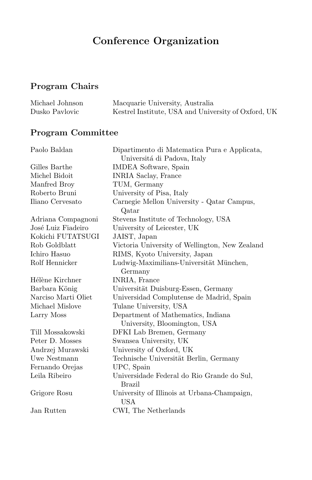## **Conference Organization**

## **Program Chairs**

| Michael Johnson | Macquarie University, Australia                     |
|-----------------|-----------------------------------------------------|
| Dusko Pavlovic  | Kestrel Institute, USA and University of Oxford, UK |

## **Program Committee**

| Paolo Baldan        | Dipartimento di Matematica Pura e Applicata,   |
|---------------------|------------------------------------------------|
|                     | Universitá di Padova, Italy                    |
| Gilles Barthe       | IMDEA Software, Spain                          |
| Michel Bidoit       | <b>INRIA Saclay, France</b>                    |
| Manfred Broy        | TUM, Germany                                   |
| Roberto Bruni       | University of Pisa, Italy                      |
| Iliano Cervesato    | Carnegie Mellon University - Qatar Campus,     |
|                     | Qatar                                          |
| Adriana Compagnoni  | Stevens Institute of Technology, USA           |
| José Luiz Fiadeiro  | University of Leicester, UK                    |
| Kokichi FUTATSUGI   | JAIST, Japan                                   |
| Rob Goldblatt       | Victoria University of Wellington, New Zealand |
| Ichiro Hasuo        | RIMS, Kyoto University, Japan                  |
| Rolf Hennicker      | Ludwig-Maximilians-Universität München,        |
|                     | Germany                                        |
| Hélène Kirchner     | INRIA, France                                  |
| Barbara König       | Universität Duisburg-Essen, Germany            |
| Narciso Marti Oliet | Universidad Complutense de Madrid, Spain       |
| Michael Mislove     | Tulane University, USA                         |
| Larry Moss          | Department of Mathematics, Indiana             |
|                     | University, Bloomington, USA                   |
| Till Mossakowski    | DFKI Lab Bremen, Germany                       |
| Peter D. Mosses     | Swansea University, UK                         |
| Andrzej Murawski    | University of Oxford, UK                       |
| Uwe Nestmann        | Technische Universität Berlin, Germany         |
| Fernando Orejas     | UPC, Spain                                     |
| Leila Ribeiro       | Universidade Federal do Rio Grande do Sul,     |
|                     | Brazil                                         |
| Grigore Rosu        | University of Illinois at Urbana-Champaign,    |
|                     | <b>USA</b>                                     |
| Jan Rutten          | CWI, The Netherlands                           |
|                     |                                                |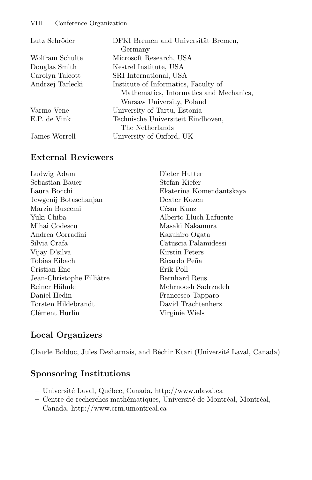| Lutz Schröder |
|---------------|
|               |

Wolfram Schulte Douglas Smith Carolyn Talcott Andrzej Tarlecki

Varmo Vene E.P. de Vink

James Worrell

DFKI Bremen and Universität Bremen, Germany Microsoft Research, USA Kestrel Institute, USA SRI International, USA Institute of Informatics, Faculty of Mathematics, Informatics and Mechanics, Warsaw University, Poland University of Tartu, Estonia Technische Universiteit Eindhoven, The Netherlands University of Oxford, UK

#### **External Reviewers**

| Ludwig Adam               | Dieter Hutter            |
|---------------------------|--------------------------|
| Sebastian Bauer           | Stefan Kiefer            |
| Laura Bocchi              | Ekaterina Komendantskaya |
| Jewgenij Botaschanjan     | Dexter Kozen             |
| Marzia Buscemi            | César Kunz               |
| Yuki Chiba                | Alberto Lluch Lafuente   |
| Mihai Codescu             | Masaki Nakamura          |
| Andrea Corradini          | Kazuhiro Ogata           |
| Silvia Crafa              | Catuscia Palamidessi     |
| Vijay D'silva             | Kirstin Peters           |
| Tobias Eibach             | Ricardo Peña             |
| Cristian Ene              | Erik Poll                |
| Jean-Christophe Filliâtre | Bernhard Reus            |
| Reiner Hähnle             | Mehrnoosh Sadrzadeh      |
| Daniel Hedin              | Francesco Tapparo        |
| Torsten Hildebrandt       | David Trachtenherz       |
| Clément Hurlin            | Virginie Wiels           |

#### **Local Organizers**

Claude Bolduc, Jules Desharnais, and Béchir Ktari (Université Laval, Canada)

#### **Sponsoring Institutions**

- Université Laval, Québec, Canada, http://www.ulaval.ca
- Centre de recherches mathématiques, Université de Montréal, Montréal, Canada, http://www.crm.umontreal.ca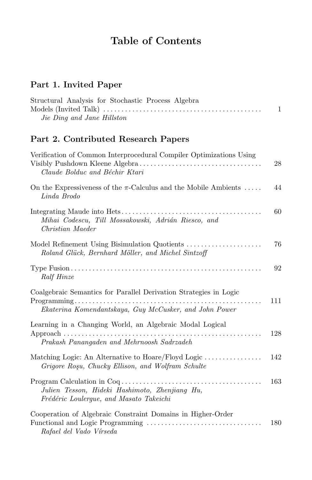## **Table of Contents**

## **Part 1. Invited Paper**

| Structural Analysis for Stochastic Process Algebra |  |
|----------------------------------------------------|--|
|                                                    |  |
| Jie Ding and Jane Hillston                         |  |

## **Part 2. Contributed Research Papers**

| Verification of Common Interprocedural Compiler Optimizations Using<br>Claude Bolduc and Béchir Ktari                       | 28  |
|-----------------------------------------------------------------------------------------------------------------------------|-----|
| On the Expressiveness of the $\pi$ -Calculus and the Mobile Ambients<br>Linda Brodo                                         | 44  |
| Mihai Codescu, Till Mossakowski, Adrián Riesco, and<br>Christian Maeder                                                     | 60  |
| Model Refinement Using Bisimulation Quotients<br>Roland Glück, Bernhard Möller, and Michel Sintzoff                         | 76  |
| Ralf Hinze                                                                                                                  | 92  |
| Coalgebraic Semantics for Parallel Derivation Strategies in Logic<br>Ekaterina Komendantskaya, Guy McCusker, and John Power | 111 |
| Learning in a Changing World, an Algebraic Modal Logical<br>Prakash Panangaden and Mehrnoosh Sadrzadeh                      | 128 |
| Matching Logic: An Alternative to Hoare/Floyd Logic<br>Grigore Rosu, Chucky Ellison, and Wolfram Schulte                    | 142 |
| Julien Tesson, Hideki Hashimoto, Zhenjiang Hu,<br>Frédéric Loulergue, and Masato Takeichi                                   | 163 |
| Cooperation of Algebraic Constraint Domains in Higher-Order<br>Rafael del Vado Vírseda                                      | 180 |